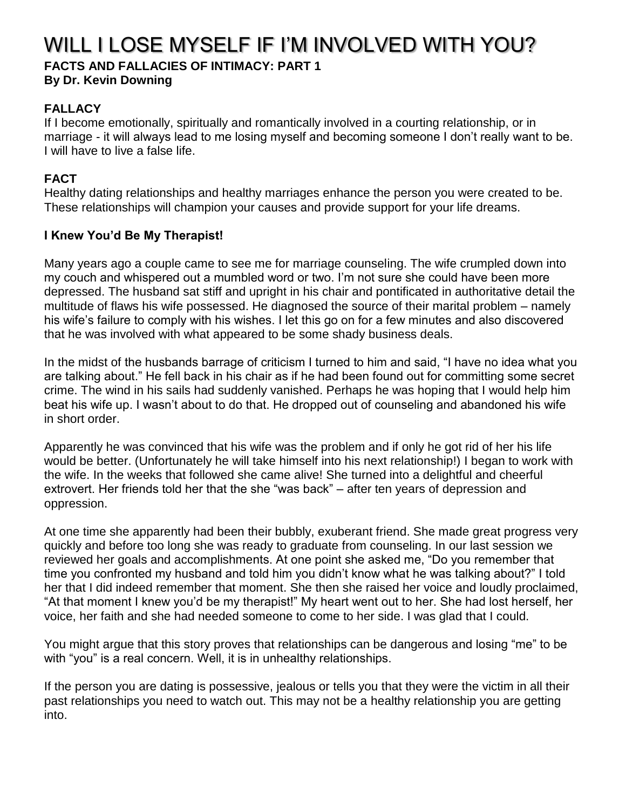# WILL I LOSE MYSELF IF I'M INVOLVED WITH YOU?

#### **FACTS AND FALLACIES OF INTIMACY: PART 1 By Dr. Kevin Downing**

## **FALLACY**

If I become emotionally, spiritually and romantically involved in a courting relationship, or in marriage - it will always lead to me losing myself and becoming someone I don't really want to be. I will have to live a false life.

## **FACT**

Healthy dating relationships and healthy marriages enhance the person you were created to be. These relationships will champion your causes and provide support for your life dreams.

## **I Knew You'd Be My Therapist!**

Many years ago a couple came to see me for marriage counseling. The wife crumpled down into my couch and whispered out a mumbled word or two. I'm not sure she could have been more depressed. The husband sat stiff and upright in his chair and pontificated in authoritative detail the multitude of flaws his wife possessed. He diagnosed the source of their marital problem – namely his wife's failure to comply with his wishes. I let this go on for a few minutes and also discovered that he was involved with what appeared to be some shady business deals.

In the midst of the husbands barrage of criticism I turned to him and said, "I have no idea what you are talking about." He fell back in his chair as if he had been found out for committing some secret crime. The wind in his sails had suddenly vanished. Perhaps he was hoping that I would help him beat his wife up. I wasn't about to do that. He dropped out of counseling and abandoned his wife in short order.

Apparently he was convinced that his wife was the problem and if only he got rid of her his life would be better. (Unfortunately he will take himself into his next relationship!) I began to work with the wife. In the weeks that followed she came alive! She turned into a delightful and cheerful extrovert. Her friends told her that the she "was back" – after ten years of depression and oppression.

At one time she apparently had been their bubbly, exuberant friend. She made great progress very quickly and before too long she was ready to graduate from counseling. In our last session we reviewed her goals and accomplishments. At one point she asked me, "Do you remember that time you confronted my husband and told him you didn't know what he was talking about?" I told her that I did indeed remember that moment. She then she raised her voice and loudly proclaimed, "At that moment I knew you'd be my therapist!" My heart went out to her. She had lost herself, her voice, her faith and she had needed someone to come to her side. I was glad that I could.

You might argue that this story proves that relationships can be dangerous and losing "me" to be with "you" is a real concern. Well, it is in unhealthy relationships.

If the person you are dating is possessive, jealous or tells you that they were the victim in all their past relationships you need to watch out. This may not be a healthy relationship you are getting into.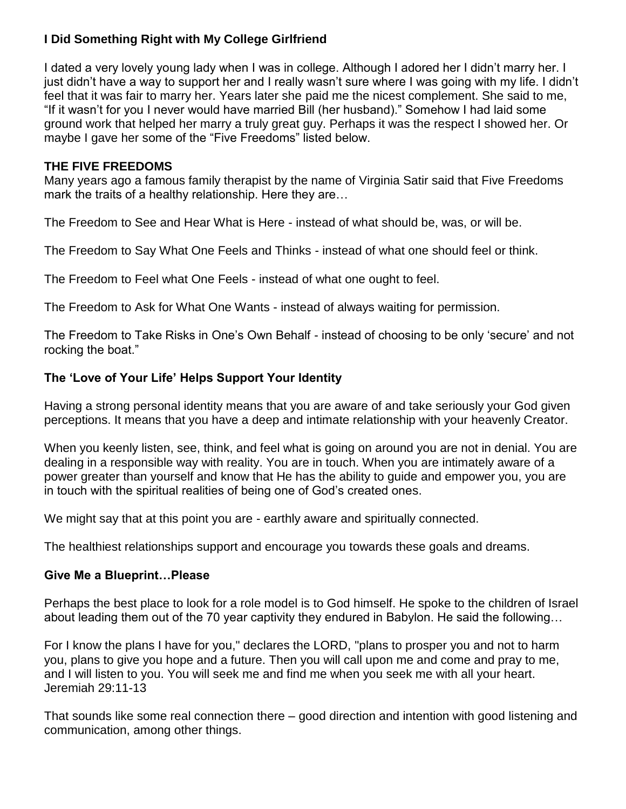## **I Did Something Right with My College Girlfriend**

I dated a very lovely young lady when I was in college. Although I adored her I didn't marry her. I just didn't have a way to support her and I really wasn't sure where I was going with my life. I didn't feel that it was fair to marry her. Years later she paid me the nicest complement. She said to me, "If it wasn't for you I never would have married Bill (her husband)." Somehow I had laid some ground work that helped her marry a truly great guy. Perhaps it was the respect I showed her. Or maybe I gave her some of the "Five Freedoms" listed below.

#### **THE FIVE FREEDOMS**

Many years ago a famous family therapist by the name of Virginia Satir said that Five Freedoms mark the traits of a healthy relationship. Here they are...

The Freedom to See and Hear What is Here - instead of what should be, was, or will be.

The Freedom to Say What One Feels and Thinks - instead of what one should feel or think.

The Freedom to Feel what One Feels - instead of what one ought to feel.

The Freedom to Ask for What One Wants - instead of always waiting for permission.

The Freedom to Take Risks in One's Own Behalf - instead of choosing to be only 'secure' and not rocking the boat."

#### **The 'Love of Your Life' Helps Support Your Identity**

Having a strong personal identity means that you are aware of and take seriously your God given perceptions. It means that you have a deep and intimate relationship with your heavenly Creator.

When you keenly listen, see, think, and feel what is going on around you are not in denial. You are dealing in a responsible way with reality. You are in touch. When you are intimately aware of a power greater than yourself and know that He has the ability to guide and empower you, you are in touch with the spiritual realities of being one of God's created ones.

We might say that at this point you are - earthly aware and spiritually connected.

The healthiest relationships support and encourage you towards these goals and dreams.

#### **Give Me a Blueprint…Please**

Perhaps the best place to look for a role model is to God himself. He spoke to the children of Israel about leading them out of the 70 year captivity they endured in Babylon. He said the following…

For I know the plans I have for you," declares the LORD, "plans to prosper you and not to harm you, plans to give you hope and a future. Then you will call upon me and come and pray to me, and I will listen to you. You will seek me and find me when you seek me with all your heart. Jeremiah 29:11-13

That sounds like some real connection there – good direction and intention with good listening and communication, among other things.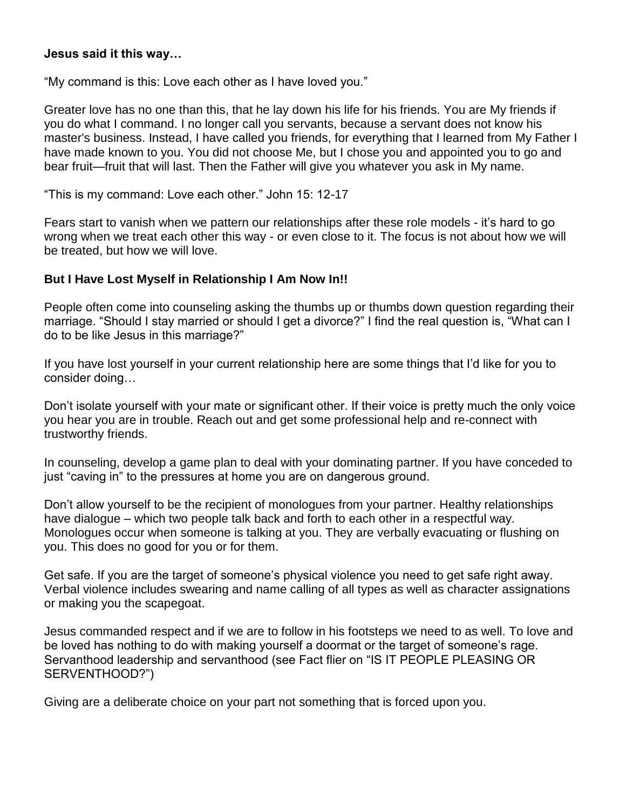#### **Jesus said it this way…**

"My command is this: Love each other as I have loved you."

Greater love has no one than this, that he lay down his life for his friends. You are My friends if you do what I command. I no longer call you servants, because a servant does not know his master's business. Instead, I have called you friends, for everything that I learned from My Father I have made known to you. You did not choose Me, but I chose you and appointed you to go and bear fruit—fruit that will last. Then the Father will give you whatever you ask in My name.

"This is my command: Love each other." John 15: 12-17

Fears start to vanish when we pattern our relationships after these role models - it's hard to go wrong when we treat each other this way - or even close to it. The focus is not about how we will be treated, but how we will love.

#### **But I Have Lost Myself in Relationship I Am Now In!!**

People often come into counseling asking the thumbs up or thumbs down question regarding their marriage. "Should I stay married or should I get a divorce?" I find the real question is, "What can I do to be like Jesus in this marriage?"

If you have lost yourself in your current relationship here are some things that I'd like for you to consider doing…

Don't isolate yourself with your mate or significant other. If their voice is pretty much the only voice you hear you are in trouble. Reach out and get some professional help and re-connect with trustworthy friends.

In counseling, develop a game plan to deal with your dominating partner. If you have conceded to just "caving in" to the pressures at home you are on dangerous ground.

Don't allow yourself to be the recipient of monologues from your partner. Healthy relationships have dialogue – which two people talk back and forth to each other in a respectful way. Monologues occur when someone is talking at you. They are verbally evacuating or flushing on you. This does no good for you or for them.

Get safe. If you are the target of someone's physical violence you need to get safe right away. Verbal violence includes swearing and name calling of all types as well as character assignations or making you the scapegoat.

Jesus commanded respect and if we are to follow in his footsteps we need to as well. To love and be loved has nothing to do with making yourself a doormat or the target of someone's rage. Servanthood leadership and servanthood (see Fact flier on "IS IT PEOPLE PLEASING OR SERVENTHOOD?")

Giving are a deliberate choice on your part not something that is forced upon you.